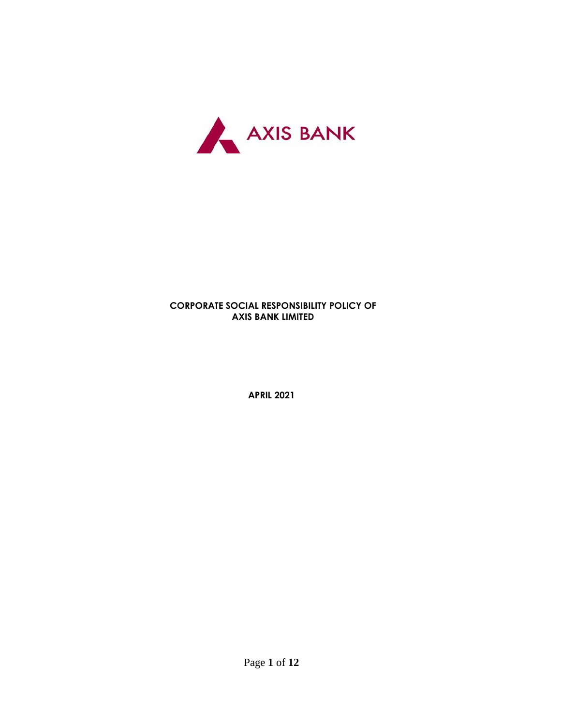

# **CORPORATE SOCIAL RESPONSIBILITY POLICY OF AXIS BANK LIMITED**

**APRIL 2021**

Page **1** of **12**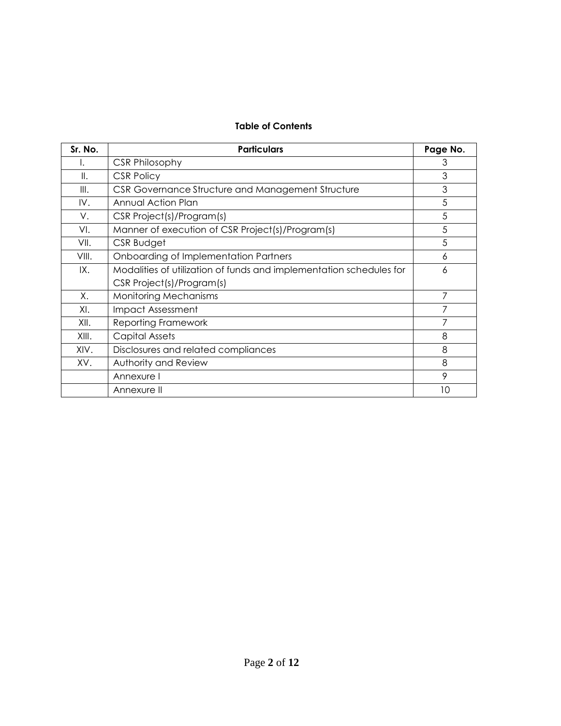# **Table of Contents**

| Sr. No. | <b>Particulars</b>                                                  | Page No. |
|---------|---------------------------------------------------------------------|----------|
|         | <b>CSR Philosophy</b>                                               | 3        |
| Ⅱ.      | <b>CSR Policy</b>                                                   | 3        |
| III.    | CSR Governance Structure and Management Structure                   | 3        |
| IV.     | Annual Action Plan                                                  | 5        |
| V.      | CSR Project(s)/Program(s)                                           | 5        |
| VI.     | Manner of execution of CSR Project(s)/Program(s)                    | 5        |
| VII.    | CSR Budget                                                          | 5        |
| VIII.   | Onboarding of Implementation Partners                               | 6        |
| IX.     | Modalities of utilization of funds and implementation schedules for | 6        |
|         | CSR Project(s)/Program(s)                                           |          |
| Χ.      | <b>Monitoring Mechanisms</b>                                        | 7        |
| XI.     | <b>Impact Assessment</b>                                            |          |
| XII.    | <b>Reporting Framework</b>                                          | 7        |
| XIII.   | Capital Assets                                                      | 8        |
| XIV.    | Disclosures and related compliances                                 | 8        |
| XV.     | Authority and Review                                                | 8        |
|         | Annexure I                                                          | 9        |
|         | Annexure II                                                         | 10       |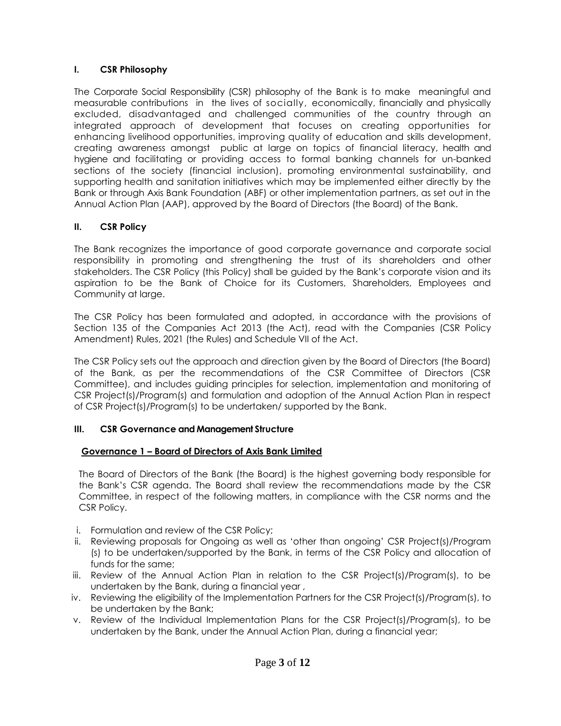### **I. CSR Philosophy**

The Corporate Social Responsibility (CSR) philosophy of the Bank is to make meaningful and measurable contributions in the lives of socially, economically, financially and physically excluded, disadvantaged and challenged communities of the country through an integrated approach of development that focuses on creating opportunities for enhancing livelihood opportunities, improving quality of education and skills development, creating awareness amongst public at large on topics of financial literacy, health and hygiene and facilitating or providing access to formal banking channels for un-banked sections of the society (financial inclusion), promoting environmental sustainability, and supporting health and sanitation initiatives which may be implemented either directly by the Bank or through Axis Bank Foundation (ABF) or other implementation partners, as set out in the Annual Action Plan (AAP), approved by the Board of Directors (the Board) of the Bank.

# **II. CSR Policy**

The Bank recognizes the importance of good corporate governance and corporate social responsibility in promoting and strengthening the trust of its shareholders and other stakeholders. The CSR Policy (this Policy) shall be guided by the Bank's corporate vision and its aspiration to be the Bank of Choice for its Customers, Shareholders, Employees and Community at large.

The CSR Policy has been formulated and adopted, in accordance with the provisions of Section 135 of the Companies Act 2013 (the Act), read with the Companies (CSR Policy Amendment) Rules, 2021 (the Rules) and Schedule VII of the Act.

The CSR Policy sets out the approach and direction given by the Board of Directors (the Board) of the Bank, as per the recommendations of the CSR Committee of Directors (CSR Committee), and includes guiding principles for selection, implementation and monitoring of CSR Project(s)/Program(s) and formulation and adoption of the Annual Action Plan in respect of CSR Project(s)/Program(s) to be undertaken/ supported by the Bank.

### **III. CSR Governance and Management Structure**

# **Governance 1 – Board of Directors of Axis Bank Limited**

The Board of Directors of the Bank (the Board) is the highest governing body responsible for the Bank's CSR agenda. The Board shall review the recommendations made by the CSR Committee, in respect of the following matters, in compliance with the CSR norms and the CSR Policy.

- i. Formulation and review of the CSR Policy;
- ii. Reviewing proposals for Ongoing as well as 'other than ongoing' CSR Project(s)/Program (s) to be undertaken/supported by the Bank, in terms of the CSR Policy and allocation of funds for the same;
- iii. Review of the Annual Action Plan in relation to the CSR Project(s)/Program(s), to be undertaken by the Bank, during a financial year ,
- iv. Reviewing the eligibility of the Implementation Partners for the CSR Project(s)/Program(s), to be undertaken by the Bank;
- v. Review of the Individual Implementation Plans for the CSR Project(s)/Program(s), to be undertaken by the Bank, under the Annual Action Plan, during a financial year;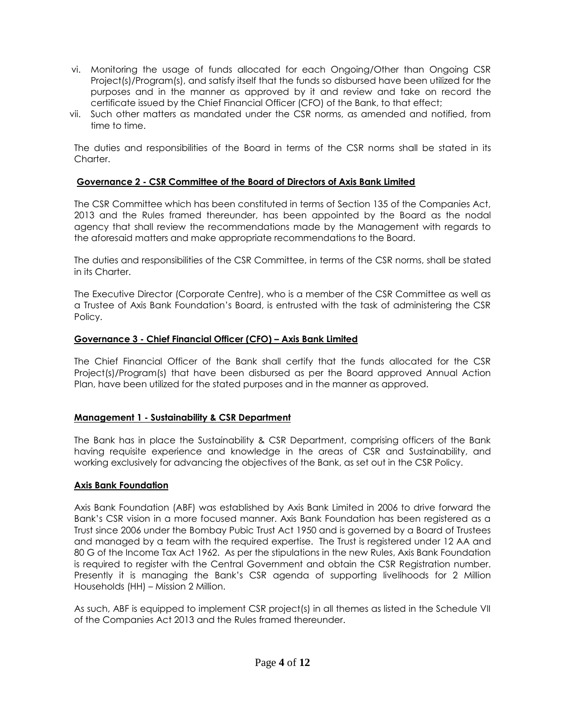- vi. Monitoring the usage of funds allocated for each Ongoing/Other than Ongoing CSR Project(s)/Program(s), and satisfy itself that the funds so disbursed have been utilized for the purposes and in the manner as approved by it and review and take on record the certificate issued by the Chief Financial Officer (CFO) of the Bank, to that effect;
- vii. Such other matters as mandated under the CSR norms, as amended and notified, from time to time.

The duties and responsibilities of the Board in terms of the CSR norms shall be stated in its Charter.

### **Governance 2 - CSR Committee of the Board of Directors of Axis Bank Limited**

The CSR Committee which has been constituted in terms of Section 135 of the Companies Act, 2013 and the Rules framed thereunder, has been appointed by the Board as the nodal agency that shall review the recommendations made by the Management with regards to the aforesaid matters and make appropriate recommendations to the Board.

The duties and responsibilities of the CSR Committee, in terms of the CSR norms, shall be stated in its Charter.

The Executive Director (Corporate Centre), who is a member of the CSR Committee as well as a Trustee of Axis Bank Foundation's Board, is entrusted with the task of administering the CSR Policy.

#### **Governance 3 - Chief Financial Officer (CFO) – Axis Bank Limited**

The Chief Financial Officer of the Bank shall certify that the funds allocated for the CSR Project(s)/Program(s) that have been disbursed as per the Board approved Annual Action Plan, have been utilized for the stated purposes and in the manner as approved.

#### **Management 1 - Sustainability & CSR Department**

The Bank has in place the Sustainability & CSR Department, comprising officers of the Bank having requisite experience and knowledge in the areas of CSR and Sustainability, and working exclusively for advancing the objectives of the Bank, as set out in the CSR Policy.

#### **Axis Bank Foundation**

Axis Bank Foundation (ABF) was established by Axis Bank Limited in 2006 to drive forward the Bank's CSR vision in a more focused manner. Axis Bank Foundation has been registered as a Trust since 2006 under the Bombay Pubic Trust Act 1950 and is governed by a Board of Trustees and managed by a team with the required expertise. The Trust is registered under 12 AA and 80 G of the Income Tax Act 1962. As per the stipulations in the new Rules, Axis Bank Foundation is required to register with the Central Government and obtain the CSR Registration number. Presently it is managing the Bank's CSR agenda of supporting livelihoods for 2 Million Households (HH) – Mission 2 Million.

As such, ABF is equipped to implement CSR project(s) in all themes as listed in the Schedule VII of the Companies Act 2013 and the Rules framed thereunder.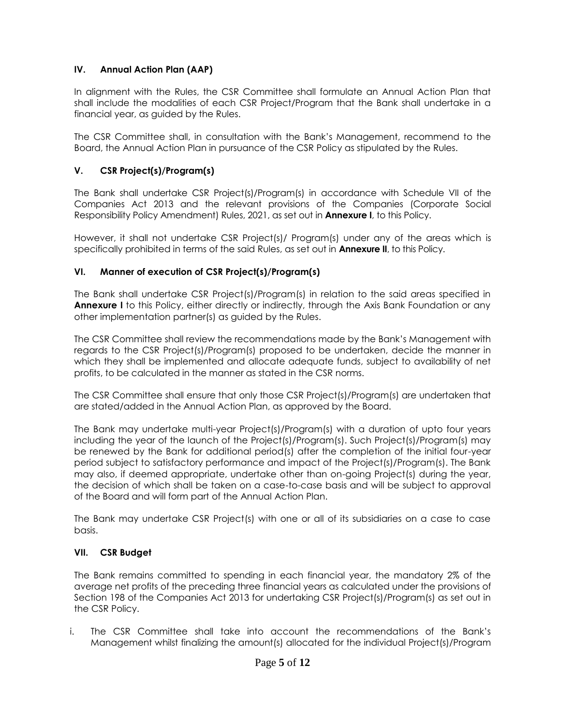# **IV.** Annual Action Plan (AAP)

In alignment with the Rules, the CSR Committee shall formulate an Annual Action Plan that shall include the modalities of each CSR Project/Program that the Bank shall undertake in a financial year, as guided by the Rules.

The CSR Committee shall, in consultation with the Bank's Management, recommend to the Board, the Annual Action Plan in pursuance of the CSR Policy as stipulated by the Rules.

# **V. CSR Project(s)/Program(s)**

The Bank shall undertake CSR Project(s)/Program(s) in accordance with Schedule VII of the Companies Act 2013 and the relevant provisions of the Companies (Corporate Social Responsibility Policy Amendment) Rules, 2021, as set out in **Annexure I**, to this Policy.

However, it shall not undertake CSR Project(s)/ Program(s) under any of the areas which is specifically prohibited in terms of the said Rules, as set out in **Annexure II**, to this Policy.

### **VI. Manner of execution of CSR Project(s)/Program(s)**

The Bank shall undertake CSR Project(s)/Program(s) in relation to the said areas specified in **Annexure I** to this Policy, either directly or indirectly, through the Axis Bank Foundation or any other implementation partner(s) as guided by the Rules.

The CSR Committee shall review the recommendations made by the Bank's Management with regards to the CSR Project(s)/Program(s) proposed to be undertaken, decide the manner in which they shall be implemented and allocate adequate funds, subject to availability of net profits, to be calculated in the manner as stated in the CSR norms.

The CSR Committee shall ensure that only those CSR Project(s)/Program(s) are undertaken that are stated/added in the Annual Action Plan, as approved by the Board.

The Bank may undertake multi-year Project(s)/Program(s) with a duration of upto four years including the year of the launch of the Project(s)/Program(s). Such Project(s)/Program(s) may be renewed by the Bank for additional period(s) after the completion of the initial four-year period subject to satisfactory performance and impact of the Project(s)/Program(s). The Bank may also, if deemed appropriate, undertake other than on-going Project(s) during the year, the decision of which shall be taken on a case-to-case basis and will be subject to approval of the Board and will form part of the Annual Action Plan.

The Bank may undertake CSR Project(s) with one or all of its subsidiaries on a case to case basis.

### **VII. CSR Budget**

The Bank remains committed to spending in each financial year, the mandatory 2% of the average net profits of the preceding three financial years as calculated under the provisions of Section 198 of the Companies Act 2013 for undertaking CSR Project(s)/Program(s) as set out in the CSR Policy.

i. The CSR Committee shall take into account the recommendations of the Bank's Management whilst finalizing the amount(s) allocated for the individual Project(s)/Program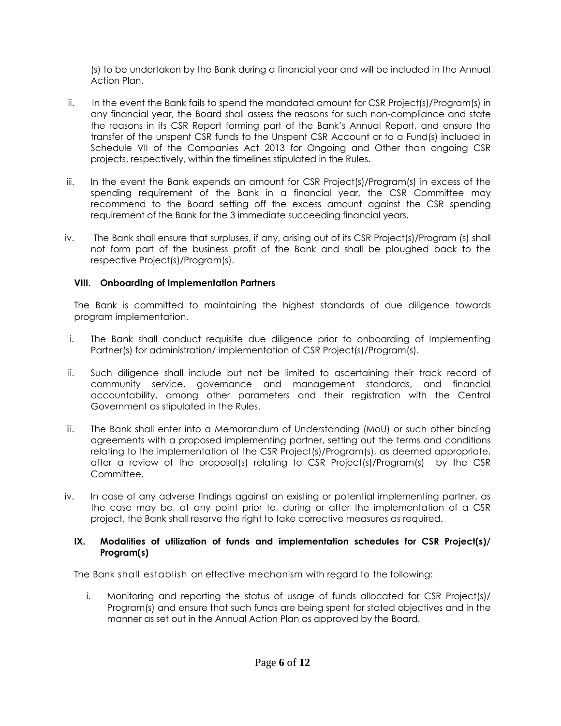(s) to be undertaken by the Bank during a financial year and will be included in the Annual Action Plan.

- ii. In the event the Bank fails to spend the mandated amount for CSR Project(s)/Program(s) in any financial year, the Board shall assess the reasons for such non-compliance and state the reasons in its CSR Report forming part of the Bank's Annual Report, and ensure the transfer of the unspent CSR funds to the Unspent CSR Account or to a Fund(s) included in Schedule VII of the Companies Act 2013 for Ongoing and Other than ongoing CSR projects, respectively, within the timelines stipulated in the Rules.
- iii. In the event the Bank expends an amount for CSR Project(s)/Program(s) in excess of the spending requirement of the Bank in a financial year, the CSR Committee may recommend to the Board setting off the excess amount against the CSR spending requirement of the Bank for the 3 immediate succeeding financial years.
- iv. The Bank shall ensure that surpluses, if any, arising out of its CSR Project(s)/Program (s) shall not form part of the business profit of the Bank and shall be ploughed back to the respective Project(s)/Program(s).

### **VIII. Onboarding of Implementation Partners**

The Bank is committed to maintaining the highest standards of due diligence towards program implementation.

- i. The Bank shall conduct requisite due diligence prior to onboarding of Implementing Partner(s) for administration/ implementation of CSR Project(s)/Program(s).
- ii. Such diligence shall include but not be limited to ascertaining their track record of community service, governance and management standards, and financial accountability, among other parameters and their registration with the Central Government as stipulated in the Rules.
- iii. The Bank shall enter into a Memorandum of Understanding (MoU) or such other binding agreements with a proposed implementing partner, setting out the terms and conditions relating to the implementation of the CSR Project(s)/Program(s), as deemed appropriate, after a review of the proposal(s) relating to CSR Project(s)/Program(s) by the CSR Committee.
- iv. In case of any adverse findings against an existing or potential implementing partner, as the case may be, at any point prior to, during or after the implementation of a CSR project, the Bank shall reserve the right to take corrective measures as required.

#### **IX. Modalities of utilization of funds and implementation schedules for CSR Project(s)/ Program(s)**

The Bank shall establish an effective mechanism with regard to the following:

i. Monitoring and reporting the status of usage of funds allocated for CSR Project(s)/ Program(s) and ensure that such funds are being spent for stated objectives and in the manner as set out in the Annual Action Plan as approved by the Board.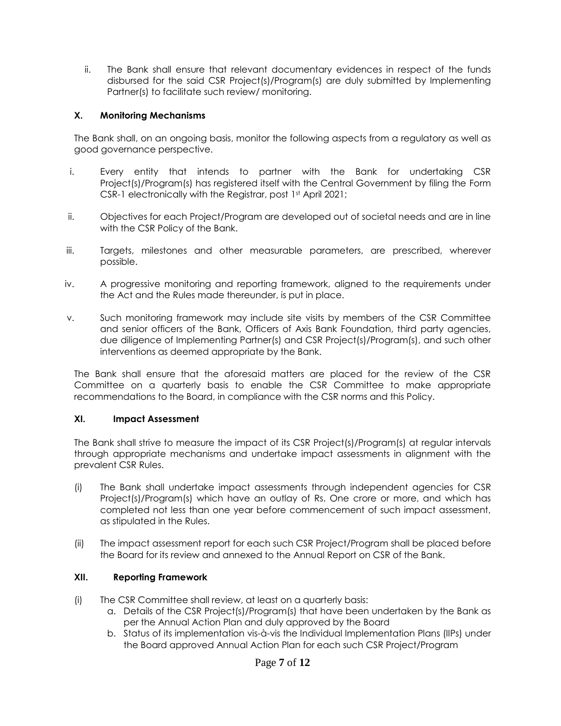ii. The Bank shall ensure that relevant documentary evidences in respect of the funds disbursed for the said CSR Project(s)/Program(s) are duly submitted by Implementing Partner(s) to facilitate such review/ monitoring.

#### **X. Monitoring Mechanisms**

The Bank shall, on an ongoing basis, monitor the following aspects from a regulatory as well as good governance perspective.

- i. Every entity that intends to partner with the Bank for undertaking CSR Project(s)/Program(s) has registered itself with the Central Government by filing the Form CSR-1 electronically with the Registrar, post 1st April 2021;
- ii. Objectives for each Project/Program are developed out of societal needs and are in line with the CSR Policy of the Bank.
- iii. Targets, milestones and other measurable parameters, are prescribed, wherever possible.
- iv. A progressive monitoring and reporting framework, aligned to the requirements under the Act and the Rules made thereunder, is put in place.
- v. Such monitoring framework may include site visits by members of the CSR Committee and senior officers of the Bank, Officers of Axis Bank Foundation, third party agencies, due diligence of Implementing Partner(s) and CSR Project(s)/Program(s), and such other interventions as deemed appropriate by the Bank.

The Bank shall ensure that the aforesaid matters are placed for the review of the CSR Committee on a quarterly basis to enable the CSR Committee to make appropriate recommendations to the Board, in compliance with the CSR norms and this Policy.

#### **XI. Impact Assessment**

The Bank shall strive to measure the impact of its CSR Project(s)/Program(s) at regular intervals through appropriate mechanisms and undertake impact assessments in alignment with the prevalent CSR Rules.

- (i) The Bank shall undertake impact assessments through independent agencies for CSR Project(s)/Program(s) which have an outlay of Rs. One crore or more, and which has completed not less than one year before commencement of such impact assessment, as stipulated in the Rules.
- (ii) The impact assessment report for each such CSR Project/Program shall be placed before the Board for its review and annexed to the Annual Report on CSR of the Bank.

#### **XII. Reporting Framework**

- (i) The CSR Committee shall review, at least on a quarterly basis:
	- a. Details of the CSR Project(s)/Program(s) that have been undertaken by the Bank as per the Annual Action Plan and duly approved by the Board
	- b. Status of its implementation vis-à-vis the Individual Implementation Plans (IIPs) under the Board approved Annual Action Plan for each such CSR Project/Program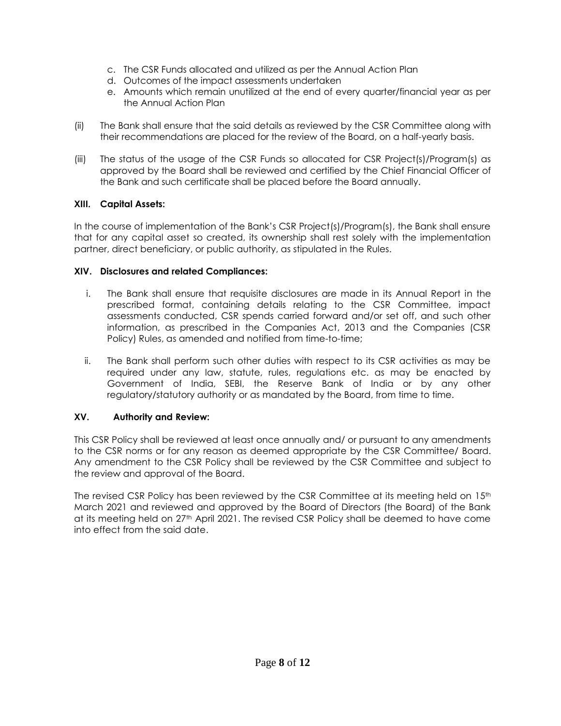- c. The CSR Funds allocated and utilized as per the Annual Action Plan
	- d. Outcomes of the impact assessments undertaken
	- e. Amounts which remain unutilized at the end of every quarter/financial year as per the Annual Action Plan
	- (ii) The Bank shall ensure that the said details as reviewed by the CSR Committee along with their recommendations are placed for the review of the Board, on a half-yearly basis.
	- (iii) The status of the usage of the CSR Funds so allocated for CSR Project(s)/Program(s) as approved by the Board shall be reviewed and certified by the Chief Financial Officer of the Bank and such certificate shall be placed before the Board annually.

# **XIII. Capital Assets:**

In the course of implementation of the Bank's CSR Project(s)/Program(s), the Bank shall ensure that for any capital asset so created, its ownership shall rest solely with the implementation partner, direct beneficiary, or public authority, as stipulated in the Rules.

# **XIV. Disclosures and related Compliances:**

- i. The Bank shall ensure that requisite disclosures are made in its Annual Report in the prescribed format, containing details relating to the CSR Committee, impact assessments conducted, CSR spends carried forward and/or set off, and such other information, as prescribed in the Companies Act, 2013 and the Companies (CSR Policy) Rules, as amended and notified from time-to-time;
- ii. The Bank shall perform such other duties with respect to its CSR activities as may be required under any law, statute, rules, regulations etc. as may be enacted by Government of India, SEBI, the Reserve Bank of India or by any other regulatory/statutory authority or as mandated by the Board, from time to time.

# **XV. Authority and Review:**

This CSR Policy shall be reviewed at least once annually and/ or pursuant to any amendments to the CSR norms or for any reason as deemed appropriate by the CSR Committee/ Board. Any amendment to the CSR Policy shall be reviewed by the CSR Committee and subject to the review and approval of the Board.

The revised CSR Policy has been reviewed by the CSR Committee at its meeting held on 15<sup>th</sup> March 2021 and reviewed and approved by the Board of Directors (the Board) of the Bank at its meeting held on 27th April 2021. The revised CSR Policy shall be deemed to have come into effect from the said date.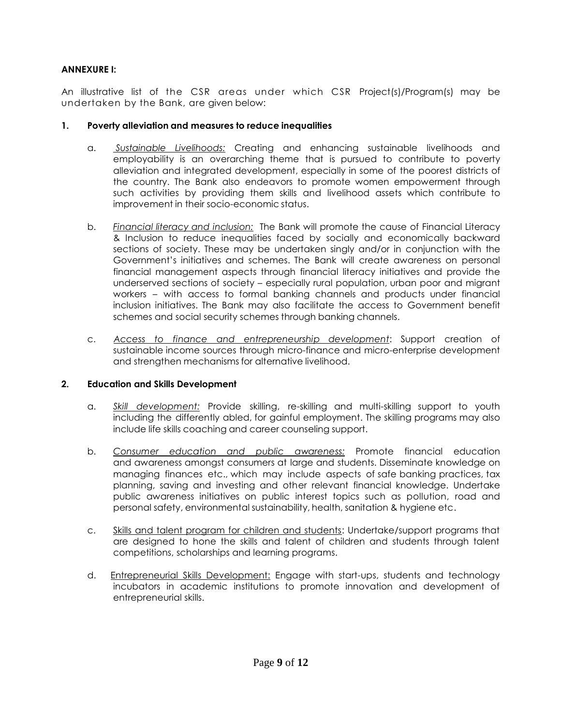### Axis Bank|Internal **ANNEXURE I:**

An illustrative list of the CSR areas under which CSR Project(s)/Program(s) may be undertaken by the Bank, are given below:

### **1. Poverty alleviation and measures to reduce inequalities**

- a. *Sustainable Livelihoods:* Creating and enhancing sustainable livelihoods and employability is an overarching theme that is pursued to contribute to poverty alleviation and integrated development, especially in some of the poorest districts of the country. The Bank also endeavors to promote women empowerment through such activities by providing them skills and livelihood assets which contribute to improvement in their socio-economic status.
- b. *Financial literacy and inclusion:* The Bank will promote the cause of Financial Literacy & Inclusion to reduce inequalities faced by socially and economically backward sections of society. These may be undertaken singly and/or in conjunction with the Government's initiatives and schemes. The Bank will create awareness on personal financial management aspects through financial literacy initiatives and provide the underserved sections of society – especially rural population, urban poor and migrant workers – with access to formal banking channels and products under financial inclusion initiatives. The Bank may also facilitate the access to Government benefit schemes and social security schemes through banking channels.
- c. *Access to finance and entrepreneurship development*: Support creation of sustainable income sources through micro-finance and micro-enterprise development and strengthen mechanisms for alternative livelihood.

# **2. Education and Skills Development**

- a. *Skill development:* Provide skilling, re-skilling and multi-skilling support to youth including the differently abled, for gainful employment. The skilling programs may also include life skills coaching and career counseling support.
- b. *Consumer education and public awareness:* Promote financial education and awareness amongst consumers at large and students. Disseminate knowledge on managing finances etc., which may include aspects of safe banking practices, tax planning, saving and investing and other relevant financial knowledge. Undertake public awareness initiatives on public interest topics such as pollution, road and personal safety, environmental sustainability, health, sanitation & hygiene etc.
- c. Skills and talent program for children and students: Undertake/support programs that are designed to hone the skills and talent of children and students through talent competitions, scholarships and learning programs.
- d. Entrepreneurial Skills Development: Engage with start-ups, students and technology incubators in academic institutions to promote innovation and development of entrepreneurial skills.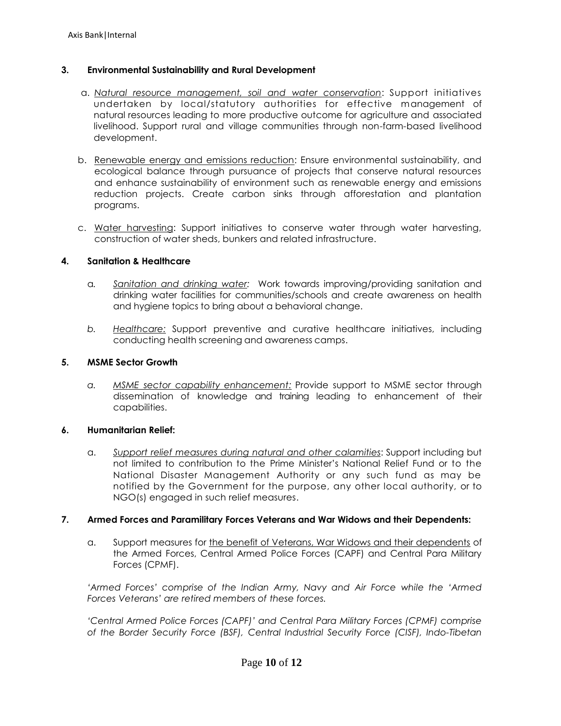### **3. Environmental Sustainability and Rural Development**

- a. *Natural resource management, soil and water conservation*: Support initiatives undertaken by local/statutory authorities for effective management of natural resources leading to more productive outcome for agriculture and associated livelihood. Support rural and village communities through non-farm-based livelihood development.
- b. Renewable energy and emissions reduction: Ensure environmental sustainability, and ecological balance through pursuance of projects that conserve natural resources and enhance sustainability of environment such as renewable energy and emissions reduction projects. Create carbon sinks through afforestation and plantation programs.
- c. Water harvesting: Support initiatives to conserve water through water harvesting, construction of water sheds, bunkers and related infrastructure.

#### **4. Sanitation & Healthcare**

- a*. Sanitation and drinking water:* Work towards improving/providing sanitation and drinking water facilities for communities/schools and create awareness on health and hygiene topics to bring about a behavioral change.
- *b. Healthcare:* Support preventive and curative healthcare initiatives, including conducting health screening and awareness camps.

#### **5. MSME Sector Growth**

*a. MSME sector capability enhancement:* Provide support to MSME sector through dissemination of knowledge and training leading to enhancement of their capabilities.

#### **6. Humanitarian Relief:**

a. *Support relief measures during natural and other calamities*: Support including but not limited to contribution to the Prime Minister's National Relief Fund or to the National Disaster Management Authority or any such fund as may be notified by the Government for the purpose, any other local authority, or to NGO(s) engaged in such relief measures.

#### **7. Armed Forces and Paramilitary Forces Veterans and War Widows and their Dependents:**

a. Support measures for the benefit of Veterans, War Widows and their dependents of the Armed Forces, Central Armed Police Forces (CAPF) and Central Para Military Forces (CPMF).

*'Armed Forces' comprise of the Indian Army, Navy and Air Force while the 'Armed Forces Veterans' are retired members of these forces.*

*'Central Armed Police Forces (CAPF)' and Central Para Military Forces (CPMF) comprise of the Border Security Force (BSF), Central Industrial Security Force (CISF), Indo-Tibetan*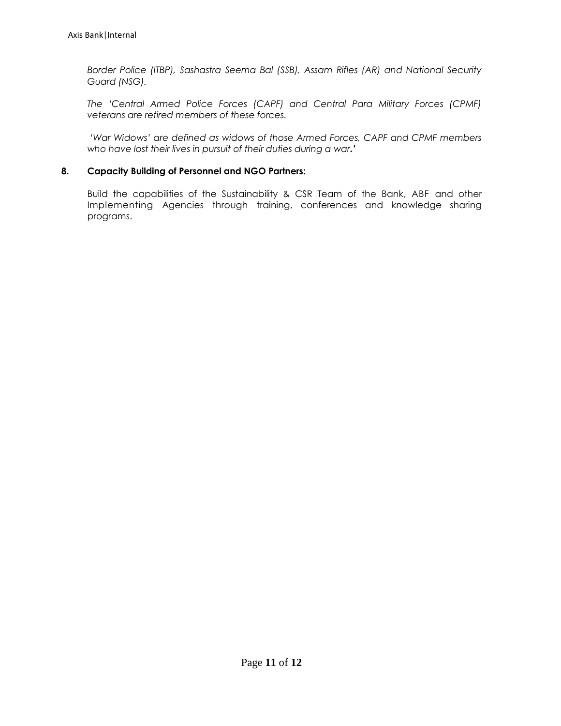*Border Police (ITBP), Sashastra Seema Bal (SSB), Assam Rifles (AR) and National Security Guard (NSG).*

*The 'Central Armed Police Forces (CAPF) and Central Para Military Forces (CPMF) veterans are retired members of these forces.*

*'War Widows' are defined as widows of those Armed Forces, CAPF and CPMF members who have lost their lives in pursuit of their duties during a war.'*

#### **8. Capacity Building of Personnel and NGO Partners:**

Build the capabilities of the Sustainability & CSR Team of the Bank, ABF and other Implementing Agencies through training, conferences and knowledge sharing programs.